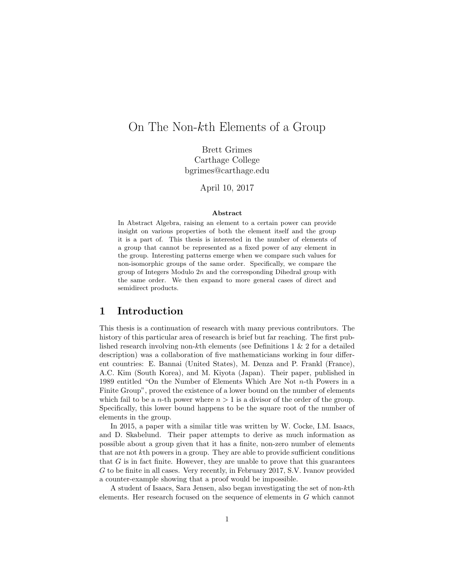# On The Non-kth Elements of a Group

Brett Grimes Carthage College bgrimes@carthage.edu

April 10, 2017

#### Abstract

In Abstract Algebra, raising an element to a certain power can provide insight on various properties of both the element itself and the group it is a part of. This thesis is interested in the number of elements of a group that cannot be represented as a fixed power of any element in the group. Interesting patterns emerge when we compare such values for non-isomorphic groups of the same order. Specifically, we compare the group of Integers Modulo  $2n$  and the corresponding Dihedral group with the same order. We then expand to more general cases of direct and semidirect products.

#### 1 Introduction

This thesis is a continuation of research with many previous contributors. The history of this particular area of research is brief but far reaching. The first published research involving non-kth elements (see Definitions 1 & 2 for a detailed description) was a collaboration of five mathematicians working in four different countries: E. Bannai (United States), M. Denza and P. Frankl (France), A.C. Kim (South Korea), and M. Kiyota (Japan). Their paper, published in 1989 entitled "On the Number of Elements Which Are Not n-th Powers in a Finite Group", proved the existence of a lower bound on the number of elements which fail to be a *n*-th power where  $n > 1$  is a divisor of the order of the group. Specifically, this lower bound happens to be the square root of the number of elements in the group.

In 2015, a paper with a similar title was written by W. Cocke, I.M. Isaacs, and D. Skabelund. Their paper attempts to derive as much information as possible about a group given that it has a finite, non-zero number of elements that are not kth powers in a group. They are able to provide sufficient conditions that  $G$  is in fact finite. However, they are unable to prove that this guarantees G to be finite in all cases. Very recently, in February 2017, S.V. Ivanov provided a counter-example showing that a proof would be impossible.

A student of Isaacs, Sara Jensen, also began investigating the set of non-kth elements. Her research focused on the sequence of elements in G which cannot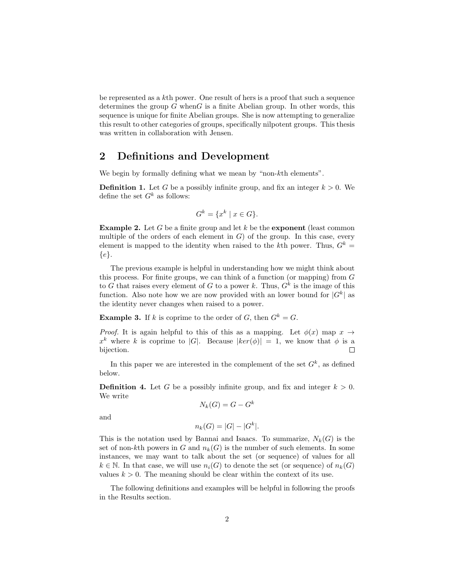be represented as a kth power. One result of hers is a proof that such a sequence determines the group  $G$  when $G$  is a finite Abelian group. In other words, this sequence is unique for finite Abelian groups. She is now attempting to generalize this result to other categories of groups, specifically nilpotent groups. This thesis was written in collaboration with Jensen.

### 2 Definitions and Development

We begin by formally defining what we mean by "non-kth elements".

**Definition 1.** Let G be a possibly infinite group, and fix an integer  $k > 0$ . We define the set  $G^k$  as follows:

$$
G^k = \{x^k \mid x \in G\}.
$$

**Example 2.** Let G be a finite group and let k be the **exponent** (least common multiple of the orders of each element in  $G$ ) of the group. In this case, every element is mapped to the identity when raised to the kth power. Thus,  $G^k$  =  ${e}.$ 

The previous example is helpful in understanding how we might think about this process. For finite groups, we can think of a function (or mapping) from  $G$ to G that raises every element of G to a power k. Thus,  $G<sup>k</sup>$  is the image of this function. Also note how we are now provided with an lower bound for  $|G^k|$  as the identity never changes when raised to a power.

**Example 3.** If k is coprime to the order of G, then  $G^k = G$ .

*Proof.* It is again helpful to this of this as a mapping. Let  $\phi(x)$  map  $x \rightarrow$  $x^k$  where k is coprime to |G|. Because  $|ker(\phi)| = 1$ , we know that  $\phi$  is a bijection.  $\Box$ 

In this paper we are interested in the complement of the set  $G<sup>k</sup>$ , as defined below.

**Definition 4.** Let G be a possibly infinite group, and fix and integer  $k > 0$ . We write

$$
N_k(G) = G - G^k
$$

and

$$
n_k(G) = |G| - |G^k|.
$$

This is the notation used by Bannai and Isaacs. To summarize,  $N_k(G)$  is the set of non-kth powers in G and  $n_k(G)$  is the number of such elements. In some instances, we may want to talk about the set (or sequence) of values for all  $k \in \mathbb{N}$ . In that case, we will use  $n_i(G)$  to denote the set (or sequence) of  $n_k(G)$ values  $k > 0$ . The meaning should be clear within the context of its use.

The following definitions and examples will be helpful in following the proofs in the Results section.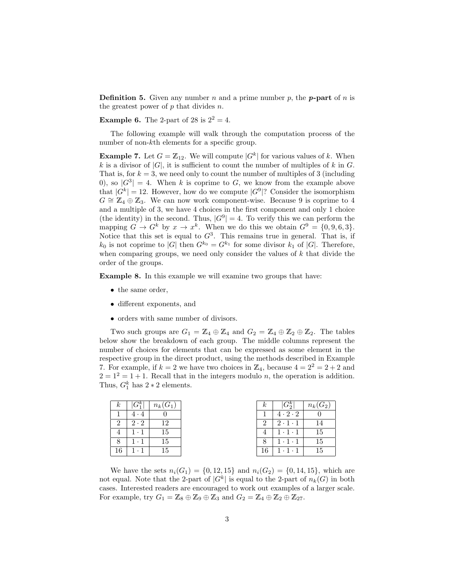**Definition 5.** Given any number n and a prime number p, the **p**-part of n is the greatest power of  $p$  that divides  $n$ .

**Example 6.** The 2-part of 28 is  $2^2 = 4$ .

The following example will walk through the computation process of the number of non-kth elements for a specific group.

**Example 7.** Let  $G = \mathbb{Z}_{12}$ . We will compute  $|G^k|$  for various values of k. When k is a divisor of  $|G|$ , it is sufficient to count the number of multiples of k in G. That is, for  $k = 3$ , we need only to count the number of multiples of 3 (including 0), so  $|G^3|=4$ . When k is coprime to G, we know from the example above that  $|G^k| = 12$ . However, how do we compute  $|G^9|$ ? Consider the isomorphism  $G \cong \mathbb{Z}_4 \oplus \mathbb{Z}_3$ . We can now work component-wise. Because 9 is coprime to 4 and a multiple of 3, we have 4 choices in the first component and only 1 choice (the identity) in the second. Thus,  $|G^9|=4$ . To verify this we can perform the mapping  $G \to G^k$  by  $x \to x^k$ . When we do this we obtain  $G^9 = \{0, 9, 6, 3\}$ . Notice that this set is equal to  $G^3$ . This remains true in general. That is, if  $k_0$  is not coprime to |G| then  $G^{k_0} = G^{k_1}$  for some divisor  $k_1$  of |G|. Therefore, when comparing groups, we need only consider the values of  $k$  that divide the order of the groups.

Example 8. In this example we will examine two groups that have:

- the same order,
- different exponents, and
- orders with same number of divisors.

Two such groups are  $G_1 = \mathbb{Z}_4 \oplus \mathbb{Z}_4$  and  $G_2 = \mathbb{Z}_4 \oplus \mathbb{Z}_2 \oplus \mathbb{Z}_2$ . The tables below show the breakdown of each group. The middle columns represent the number of choices for elements that can be expressed as some element in the respective group in the direct product, using the methods described in Example 7. For example, if  $k = 2$  we have two choices in  $\mathbb{Z}_4$ , because  $4 = 2^2 = 2 + 2$  and  $2 = 1^2 = 1 + 1$ . Recall that in the integers modulo *n*, the operation is addition. Thus,  $G_1^k$  has  $2 * 2$  elements.

| $\kappa$      | $n_{\rm E}$ | $n_k(G_1)$ | $\kappa$                    |    | $G_2^n$             | $n_k(G_2)$ |
|---------------|-------------|------------|-----------------------------|----|---------------------|------------|
|               | 4 - 4       |            |                             |    | $4 \cdot 2 \cdot 2$ |            |
| $\mathcal{P}$ | $2 \cdot 2$ | 19         | $\mathcal{D}_{\mathcal{L}}$ |    | $2 \cdot 1 \cdot 1$ | 14         |
|               |             | 15         |                             |    | $1 \cdot 1 \cdot 1$ | 15         |
|               | $\cdots$    | 15         |                             |    | $1 \cdot 1 \cdot 1$ | 15         |
| 16            |             | 15         |                             | 16 | $1 \cdot 1 \cdot 1$ | 15         |

We have the sets  $n_i(G_1) = \{0, 12, 15\}$  and  $n_i(G_2) = \{0, 14, 15\}$ , which are not equal. Note that the 2-part of  $|G^k|$  is equal to the 2-part of  $n_k(G)$  in both cases. Interested readers are encouraged to work out examples of a larger scale. For example, try  $G_1 = \mathbb{Z}_8 \oplus \mathbb{Z}_9 \oplus \mathbb{Z}_3$  and  $G_2 = \mathbb{Z}_4 \oplus \mathbb{Z}_2 \oplus \mathbb{Z}_{27}$ .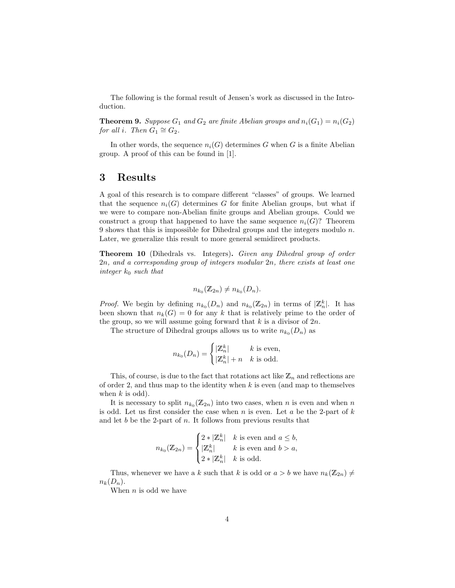The following is the formal result of Jensen's work as discussed in the Introduction.

**Theorem 9.** Suppose  $G_1$  and  $G_2$  are finite Abelian groups and  $n_i(G_1) = n_i(G_2)$ for all i. Then  $G_1 \cong G_2$ .

In other words, the sequence  $n_i(G)$  determines G when G is a finite Abelian group. A proof of this can be found in [1].

#### 3 Results

A goal of this research is to compare different "classes" of groups. We learned that the sequence  $n_i(G)$  determines G for finite Abelian groups, but what if we were to compare non-Abelian finite groups and Abelian groups. Could we construct a group that happened to have the same sequence  $n_i(G)$ ? Theorem 9 shows that this is impossible for Dihedral groups and the integers modulo n. Later, we generalize this result to more general semidirect products.

Theorem 10 (Dihedrals vs. Integers). Given any Dihedral group of order 2n, and a corresponding group of integers modular 2n, there exists at least one integer  $k_0$  such that

$$
n_{k_0}(\mathbb{Z}_{2n}) \neq n_{k_0}(D_n).
$$

*Proof.* We begin by defining  $n_{k_0}(D_n)$  and  $n_{k_0}(\mathbb{Z}_{2n})$  in terms of  $|\mathbb{Z}_n^k|$ . It has been shown that  $n_k(G) = 0$  for any k that is relatively prime to the order of the group, so we will assume going forward that  $k$  is a divisor of  $2n$ .

The structure of Dihedral groups allows us to write  $n_{k_0}(D_n)$  as

$$
n_{k_0}(D_n) = \begin{cases} |Z_n^k| & k \text{ is even,} \\ |Z_n^k| + n & k \text{ is odd.} \end{cases}
$$

This, of course, is due to the fact that rotations act like  $\mathbb{Z}_n$  and reflections are of order 2, and thus map to the identity when  $k$  is even (and map to themselves when  $k$  is odd).

It is necessary to split  $n_{k_0}(\mathbb{Z}_{2n})$  into two cases, when n is even and when n is odd. Let us first consider the case when  $n$  is even. Let  $a$  be the 2-part of  $k$ and let b be the 2-part of  $n$ . It follows from previous results that

$$
n_{k_0}(\mathbb{Z}_{2n}) = \begin{cases} 2 * |\mathbb{Z}_n^k| & k \text{ is even and } a \le b, \\ |\mathbb{Z}_n^k| & k \text{ is even and } b > a, \\ 2 * |\mathbb{Z}_n^k| & k \text{ is odd.} \end{cases}
$$

Thus, whenever we have a k such that k is odd or  $a > b$  we have  $n_k(\mathbb{Z}_{2n}) \neq$  $n_k(D_n)$ .

When  $n$  is odd we have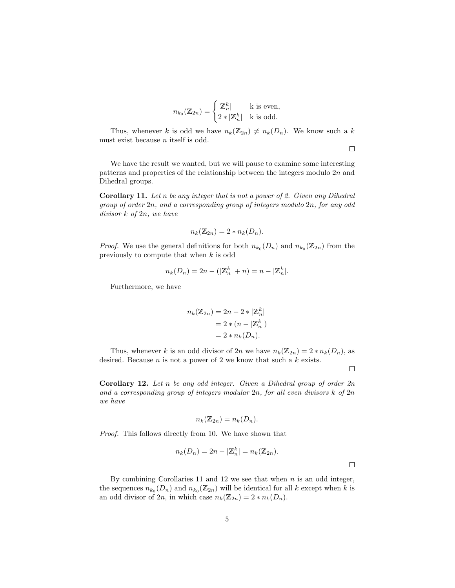$$
n_{k_0}(\mathbb{Z}_{2n}) = \begin{cases} |\mathbb{Z}_n^k| & \text{is even,} \\ 2 * |\mathbb{Z}_n^k| & \text{is odd.} \end{cases}
$$

Thus, whenever k is odd we have  $n_k(\mathbb{Z}_{2n}) \neq n_k(D_n)$ . We know such a k must exist because n itself is odd.

We have the result we wanted, but we will pause to examine some interesting patterns and properties of the relationship between the integers modulo  $2n$  and Dihedral groups.

Corollary 11. Let n be any integer that is not a power of 2. Given any Dihedral group of order 2n, and a corresponding group of integers modulo 2n, for any odd divisor k of 2n, we have

$$
n_k(\mathbb{Z}_{2n})=2*n_k(D_n).
$$

*Proof.* We use the general definitions for both  $n_{k_0}(D_n)$  and  $n_{k_0}(\mathbb{Z}_{2n})$  from the previously to compute that when k is odd

$$
n_k(D_n) = 2n - (|\mathbb{Z}_n^k| + n) = n - |\mathbb{Z}_n^k|.
$$

Furthermore, we have

$$
n_k(\mathbb{Z}_{2n}) = 2n - 2 * |\mathbb{Z}_n^k|
$$
  
= 2 \* (n - |\mathbb{Z}\_n^k|)  
= 2 \* n\_k(D\_n).

Thus, whenever k is an odd divisor of  $2n$  we have  $n_k(\mathbb{Z}_{2n}) = 2 * n_k(D_n)$ , as desired. Because  $n$  is not a power of 2 we know that such a  $k$  exists.

 $\Box$ 

 $\Box$ 

**Corollary 12.** Let n be any odd integer. Given a Dihedral group of order  $2n$ and a corresponding group of integers modular  $2n$ , for all even divisors  $k$  of  $2n$ we have

$$
n_k(\mathbb{Z}_{2n}) = n_k(D_n).
$$

Proof. This follows directly from 10. We have shown that

$$
n_k(D_n) = 2n - |\mathbb{Z}_n^k| = n_k(\mathbb{Z}_{2n}).
$$

By combining Corollaries 11 and 12 we see that when  $n$  is an odd integer, the sequences  $n_{k_0}(D_n)$  and  $n_{k_0}(\mathbb{Z}_{2n})$  will be identical for all k except when k is an odd divisor of 2n, in which case  $n_k(\mathbb{Z}_{2n}) = 2 * n_k(D_n)$ .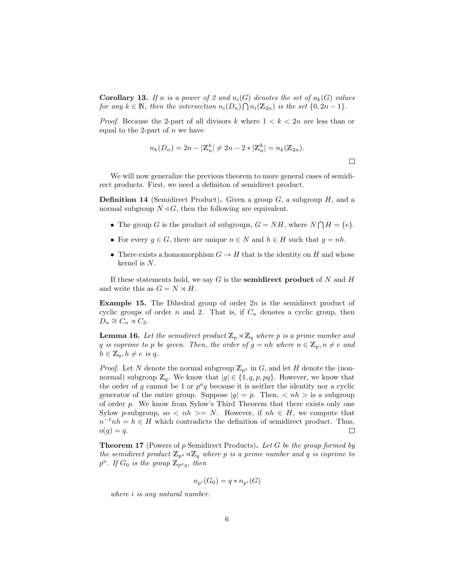**Corollary 13.** If n is a power of 2 and  $n_i(G)$  denotes the set of  $u_k(G)$  values for any  $k \in \mathbb{N}$ , then the intersection  $n_i(D_n) \cap n_i(\mathbb{Z}_{2n})$  is the set  $\{0, 2n-1\}$ .

*Proof.* Because the 2-part of all divisors k where  $1 < k < 2n$  are less than or equal to the 2-part of  $n$  we have

$$
n_k(D_n) = 2n - |\mathbb{Z}_n^k| \neq 2n - 2 * |\mathbb{Z}_n^k| = n_k(\mathbb{Z}_{2n}).
$$

We will now generalize the previous theorem to more general cases of semidirect products. First, we need a definiton of semidirect product.

**Definition 14** (Semidirect Product). Given a group  $G$ , a subgroup  $H$ , and a normal subgroup  $N \triangleleft G$ , then the following are equivalent.

- The group G is the product of subgroups,  $G = NH$ , where  $N \bigcap H = \{e\}.$
- For every  $g \in G$ , there are unique  $n \in N$  and  $h \in H$  such that  $g = nh$ .
- There exists a homomorphism  $G \to H$  that is the identity on H and whose kernel is N.

If these statements hold, we say G is the **semidirect product** of N and H and write this as  $G = N \rtimes H$ .

**Example 15.** The Dihedral group of order  $2n$  is the semidirect product of cyclic groups of order n and 2. That is, if  $C_n$  denotes a cyclic group, then  $D_n \cong C_n \rtimes C_2.$ 

**Lemma 16.** Let the semidirect product  $\mathbb{Z}_p \rtimes \mathbb{Z}_q$  where p is a prime number and q is coprime to p be given. Then, the order of  $g = nh$  where  $n \in \mathbb{Z}_p, n \neq e$  and  $h \in \mathbb{Z}_q, h \neq e$  is q.

*Proof.* Let N denote the normal subgroup  $\mathbb{Z}_{p^a}$  in G, and let H denote the (nonnormal) subgroup  $\mathbb{Z}_q$ . We know that  $|g| \in \{1, q, p, pq\}$ . However, we know that the order of g cannot be 1 or  $p^a q$  because it is neither the identity nor a cyclic generator of the entire group. Suppose  $|g| = p$ . Then,  $\langle nh \rangle$  is a subgroup of order p. We know from Sylow's Third Theorem that there exists only one Sylow p-subgroup, so  $\langle nh \rangle = N$ . However, if  $nh \in H$ , we compute that  $n^{-1}nh = h \in H$  which contradicts the definition of semidirect product. Thus,  $o(q) = q$ .  $\Box$ 

**Theorem 17** (Powers of p Semidirect Products). Let G be the group formed by the semidirect product  $\mathbb{Z}_{p^a}\rtimes \mathbb{Z}_q$  where p is a prime number and q is coprime to  $p^a$ . If  $G_0$  is the group  $\mathbb{Z}_{p^a q}$ , then

$$
n_{p^i}(G_0) = q * n_{p^i}(G)
$$

where *i* is any natural number.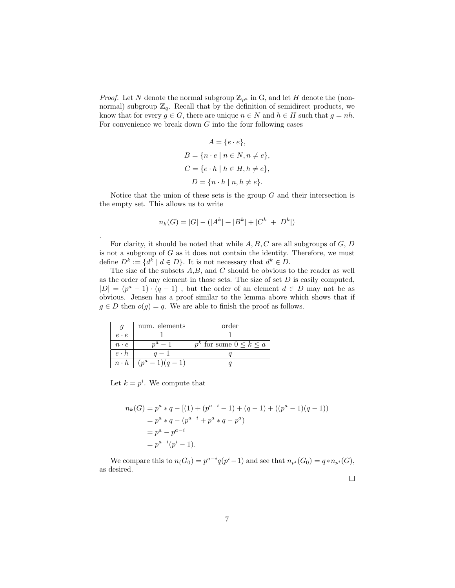*Proof.* Let N denote the normal subgroup  $\mathbb{Z}_{p^a}$  in G, and let H denote the (nonnormal) subgroup  $\mathbb{Z}_q$ . Recall that by the definition of semidirect products, we know that for every  $g \in G$ , there are unique  $n \in N$  and  $h \in H$  such that  $g = nh$ . For convenience we break down  $G$  into the four following cases

$$
A = \{e \cdot e\},
$$
  
\n
$$
B = \{n \cdot e \mid n \in N, n \neq e\},
$$
  
\n
$$
C = \{e \cdot h \mid h \in H, h \neq e\},
$$
  
\n
$$
D = \{n \cdot h \mid n, h \neq e\}.
$$

Notice that the union of these sets is the group  $G$  and their intersection is the empty set. This allows us to write

$$
n_k(G) = |G| - (|A^k| + |B^k| + |C^k| + |D^k|)
$$

For clarity, it should be noted that while  $A, B, C$  are all subgroups of  $G, D$ is not a subgroup of  $G$  as it does not contain the identity. Therefore, we must define  $D^k := \{d^k \mid d \in D\}$ . It is not necessary that  $d^k \in D$ .

The size of the subsets  $A, B$ , and  $C$  should be obvious to the reader as well as the order of any element in those sets. The size of set  $D$  is easily computed,  $|D| = (p^a - 1) \cdot (q - 1)$ , but the order of an element  $d \in D$  may not be as obvious. Jensen has a proof similar to the lemma above which shows that if  $g \in D$  then  $o(g) = q$ . We are able to finish the proof as follows.

|             | num. elements  | order                            |  |  |
|-------------|----------------|----------------------------------|--|--|
| $e \cdot e$ |                |                                  |  |  |
| $n \cdot e$ |                | $p^k$ for some $0 \leq k \leq a$ |  |  |
| $e \cdot h$ |                |                                  |  |  |
| $n \cdot h$ | $(n^a-1)(q-1)$ |                                  |  |  |

Let  $k = p^i$ . We compute that

.

$$
n_k(G) = p^a * q - [(1) + (p^{a-i} - 1) + (q - 1) + ((p^a - 1)(q - 1))
$$
  
=  $p^a * q - (p^{a-i} + p^a * q - p^a)$   
=  $p^a - p^{a-i}$   
=  $p^{a-i}(p^i - 1)$ .

We compare this to  $n(G_0) = p^{a-i}q(p^i-1)$  and see that  $n_{p^i}(G_0) = q * n_{p^i}(G)$ , as desired.

 $\Box$